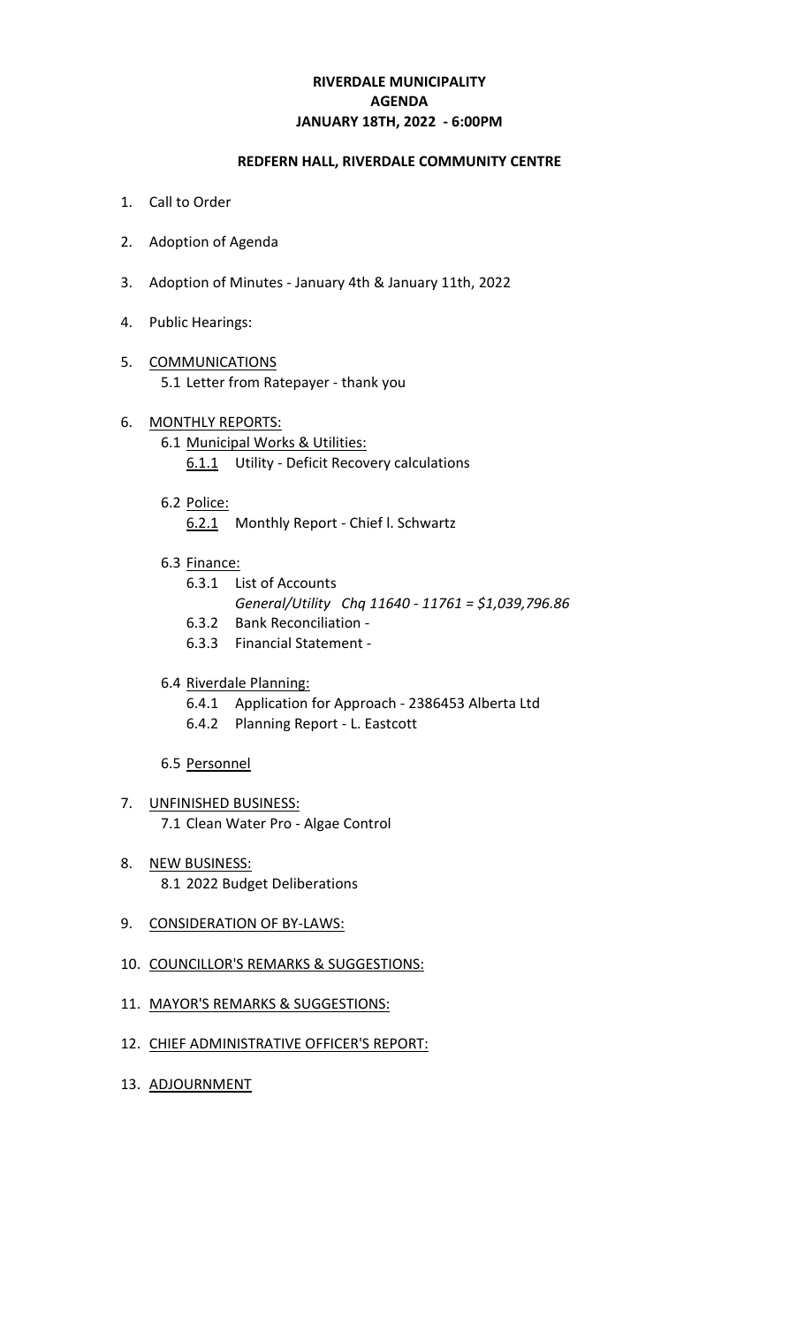# **RIVERDALE MUNICIPALITY JANUARY 18TH, 2022 - 6:00PM AGENDA**

### **REDFERN HALL, RIVERDALE COMMUNITY CENTRE**

- 1. Call to Order
- 2. Adoption of Agenda
- 3. Adoption of Minutes January 4th & January 11th, 2022
- 4. Public Hearings:
- 5. COMMUNICATIONS 5.1 Letter from Ratepayer - thank you
- 6. MONTHLY REPORTS: 6.1 Municipal Works & Utilities: 6.1.1 Utility - Deficit Recovery calculations
	- 6.2 Police: 6.2.1 Monthly Report - Chief l. Schwartz
	- 6.3 Finance:
		- 6.3.1 List of Accounts
			- *General/Utility Chq 11640 11761 = \$1,039,796.86*
		- 6.3.2 Bank Reconciliation -
		- 6.3.3 Financial Statement -

### 6.4 Riverdale Planning:

- 6.4.1 Application for Approach 2386453 Alberta Ltd
- 6.4.2 Planning Report L. Eastcott
- 6.5 Personnel
- 7. UNFINISHED BUSINESS: 7.1 Clean Water Pro - Algae Control
- 8. NEW BUSINESS: 8.1 2022 Budget Deliberations
- 9. CONSIDERATION OF BY-LAWS:
- 10. COUNCILLOR'S REMARKS & SUGGESTIONS:
- 11. MAYOR'S REMARKS & SUGGESTIONS:
- 12. CHIEF ADMINISTRATIVE OFFICER'S REPORT:
- 13. ADJOURNMENT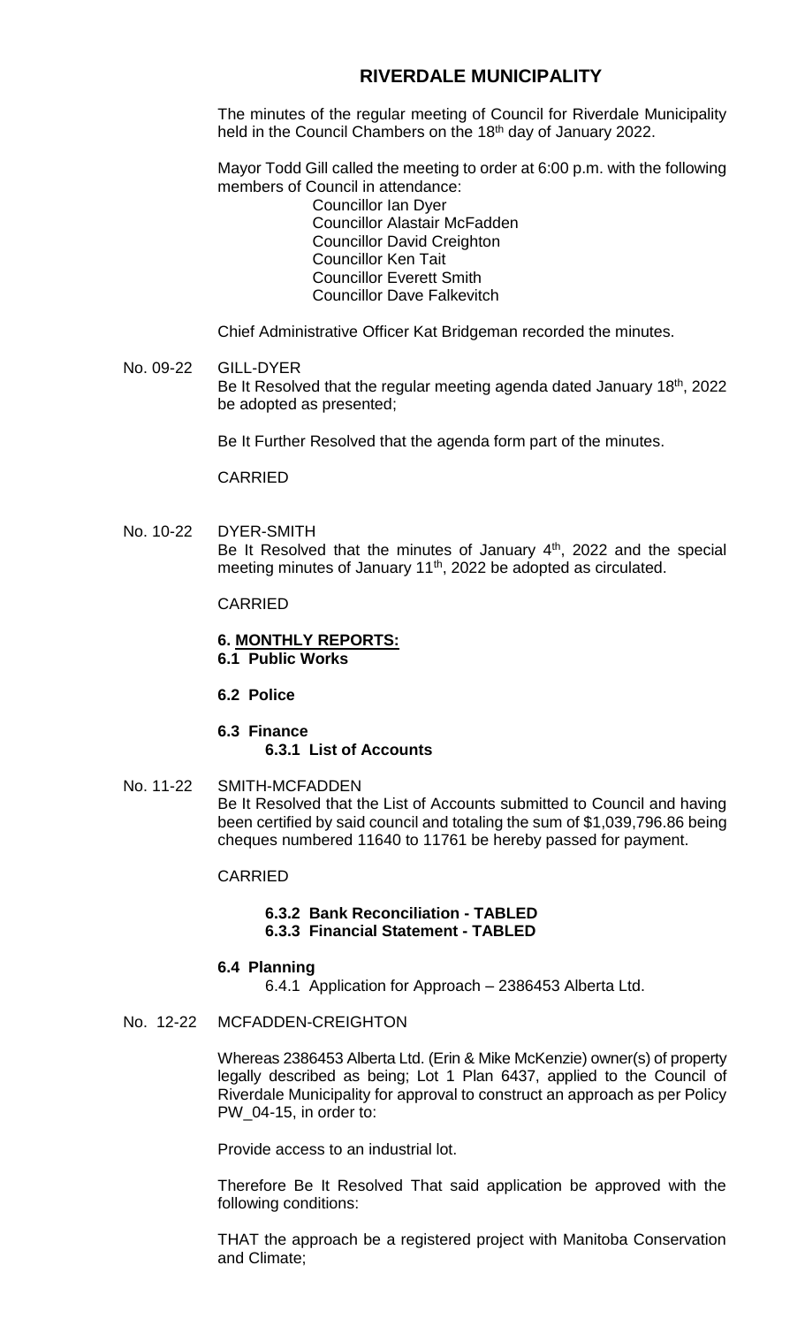# **RIVERDALE MUNICIPALITY**

The minutes of the regular meeting of Council for Riverdale Municipality held in the Council Chambers on the 18<sup>th</sup> day of January 2022.

Mayor Todd Gill called the meeting to order at 6:00 p.m. with the following members of Council in attendance:

Councillor Ian Dyer Councillor Alastair McFadden Councillor David Creighton Councillor Ken Tait Councillor Everett Smith Councillor Dave Falkevitch

Chief Administrative Officer Kat Bridgeman recorded the minutes.

#### No. 09-22 GILL-DYER Be It Resolved that the regular meeting agenda dated January 18<sup>th</sup>, 2022 be adopted as presented;

Be It Further Resolved that the agenda form part of the minutes.

CARRIED

No. 10-22 DYER-SMITH Be It Resolved that the minutes of January  $4<sup>th</sup>$ , 2022 and the special meeting minutes of January 11<sup>th</sup>, 2022 be adopted as circulated.

CARRIED

#### **6. MONTHLY REPORTS: 6.1 Public Works**

**6.2 Police**

### **6.3 Finance 6.3.1 List of Accounts**

No. 11-22 SMITH-MCFADDEN Be It Resolved that the List of Accounts submitted to Council and having been certified by said council and totaling the sum of \$1,039,796.86 being cheques numbered 11640 to 11761 be hereby passed for payment.

CARRIED

#### **6.3.2 Bank Reconciliation - TABLED 6.3.3 Financial Statement - TABLED**

### **6.4 Planning**

6.4.1 Application for Approach – 2386453 Alberta Ltd.

### No. 12-22 MCFADDEN-CREIGHTON

Whereas 2386453 Alberta Ltd. (Erin & Mike McKenzie) owner(s) of property legally described as being; Lot 1 Plan 6437, applied to the Council of Riverdale Municipality for approval to construct an approach as per Policy PW 04-15, in order to:

Provide access to an industrial lot.

Therefore Be It Resolved That said application be approved with the following conditions:

THAT the approach be a registered project with Manitoba Conservation and Climate;